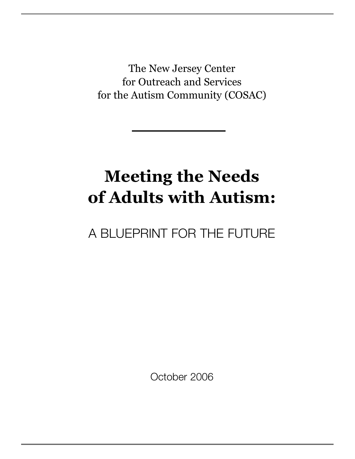The New Jersey Center for Outreach and Services for the Autism Community (COSAC)

# **Meeting the Needs of Adults with Autism:**

# A BLUEPRINT FOR THE FUTURE

October 2006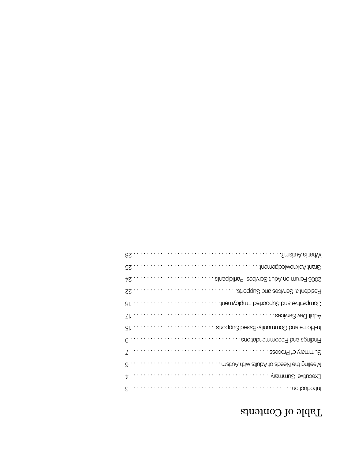# Table of Contents

| SmeituA ei tsrNW<br>96                        |
|-----------------------------------------------|
| Crant Acknowledgement<br>52                   |
| atnaqioithe9 eaoives taices baricipants<br>ÞΖ |
| Residential Services and Supports.<br>55      |
| Competitive and Supported Employment.<br>8Ļ   |
| .esoives ved tlubA<br>ΖF                      |
| In-Home and Community-Based Supports<br>SĻ    |
| Findings and Recommendations.<br>$6 \cdots$   |
| essoon9 to mammus                             |
| 9                                             |
| Executive Summary<br>t                        |
| .noitoubont.                                  |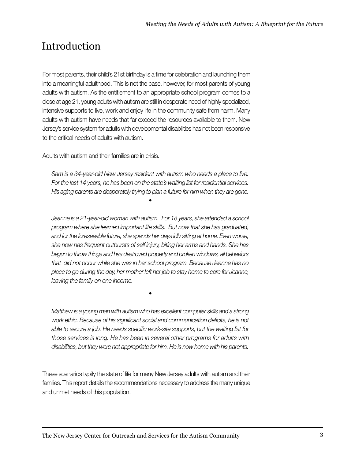# Introduction

For most parents, their child's 21st birthday is a time for celebration and launching them into a meaningful adulthood. This is not the case, however, for most parents of young adults with autism. As the entitlement to an appropriate school program comes to a close at age 21, young adults with autism are still in desperate need of highly specialized, intensive supports to live, work and enjoy life in the community safe from harm. Many adults with autism have needs that far exceed the resources available to them. New Jersey's service system for adults with developmental disabilities has not been responsive to the critical needs of adults with autism.

Adults with autism and their families are in crisis.

*Sam is a 34-year-old New Jersey resident with autism who needs a place to live. For the last 14 years, he has been on the state's waiting list for residential services. His aging parents are desperately trying to plan a future for him when they are gone.*

*•*

*Jeanne is a 21-year-old woman with autism. For 18 years, she attended a school program where she learned important life skills. But now that she has graduated, and for the foreseeable future, she spends her days idly sitting at home. Even worse, she now has frequent outbursts of self injury, biting her arms and hands. She has begun to throw things and has destroyed property and broken windows, all behaviors that did not occur while she was in her school program. Because Jeanne has no place to go during the day, her mother left her job to stay home to care for Jeanne, leaving the family on one income.*

*•*

*Matthew is a young man with autism who has excellent computer skills and a strong work ethic. Because of his significant social and communication deficits, he is not able to secure a job. He needs specific work-site supports, but the waiting list for those services is long. He has been in several other programs for adults with disabilities, but they were not appropriate for him. He is now home with his parents.*

These scenarios typify the state of life for many New Jersey adults with autism and their families. This report details the recommendations necessary to address the many unique and unmet needs of this population.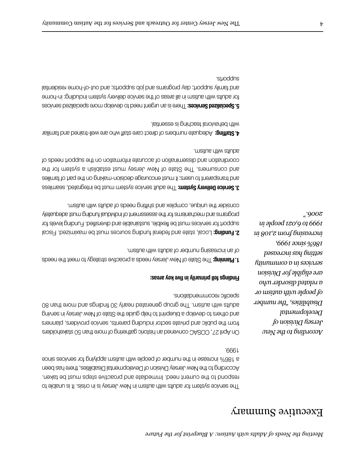# Executive Summary

The service system for adults with autism in New Jersey is in crisis. It is unable to respond to the current need. Immediate and proactive steps must be taken. According to the New Jersey Division of Developmental Disabilities, there has been a 186% increase in the number of people with autism applying for services since 1999.

On April 27, COSAC convened an historic gathering of more than 50 stakeholders from the public and private sector including parents, service providers, planners and others to develop a blueprint to help guide the State of New Jersey in serving O8 nsrt anom bns agnibuit OE vhsan betsnang quong en T. maitus dtiw stlubs specific recommendations.

#### **Findings fell primarily in five key areas:**

**1. Planning: The State of New Jersey needs a proactive strategy to meet the needs** of an increasing number of adults with autism.

2. Funding: Local, state and federal funding sources must be maximized. Fiscal support for services must be flexible, sustainable and diversified. Funding levels for programs and mechanisms for the assessment of individual funding must adequately consider the unique, complex and shifting needs of adults with autism.

**3. Service Delivery System: The adult service system must be integrated, seamless** and transparent to users; it must encourage decision-making on the part of families and consumers. The State of New Jersey must establish a system for the coordination and dissemination of accurate information on the support needs of adults with autism.

Adequate numbers of direct care staff who are well-trained and familiar **4.Staffing:** with behavioral teaching is essential.

**5. Specialized Services:** There is an urgent need to develop more specialised services for adults with autism in all areas of the service delivery system including: in-home and family support; day programs and job supports; and out-of-home residential supports.

> *According to the New Jersey Division of Developmental Disabilities, "the number of people with autism or a related disorder who are eligible for Division services in a community setting has increased 186% since 1999, increasing from 2,108 in 1999 to 6,021 people in 2006."*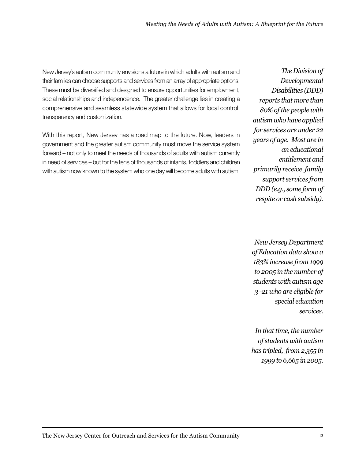New Jersey's autism community envisions a future in which adults with autism and their families can choose supports and services from an array of appropriate options. These must be diversified and designed to ensure opportunities for employment, social relationships and independence. The greater challenge lies in creating a comprehensive and seamless statewide system that allows for local control, transparency and customization.

With this report, New Jersey has a road map to the future. Now, leaders in government and the greater autism community must move the service system forward – not only to meet the needs of thousands of adults with autism currently in need of services – but for the tens of thousands of infants, toddlers and children with autism now known to the system who one day will become adults with autism.

*The Division of Developmental Disabilities (DDD) reports that more than 80% of the people with autism who have applied for services are under 22 years of age. Most are in an educational entitlement and primarily receive family support services from DDD (e.g., some form of respite or cash subsidy).*

*New Jersey Department of Education data show a 183% increase from 1999 to 2005 in the number of students with autism age 3 -21 who are eligible for special education services.* 

*In that time, the number of students with autism has tripled, from 2,355 in 1999 to 6,665 in 2005.*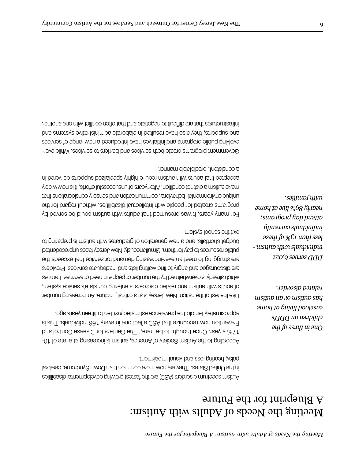# Meeting the Needs of Adults with Autism: A Blueprint for the Future

Autism spectrum disorders (ASD) are the fastest growing developmental disabilities in the United States. They are now more common than Down Syndrome, cerebral palsy, hearing loss and visual impairment.

According to the Autism Society of America, autism is increasing at a rate of 10- 17% a year. Once thought to be "rare," The Centers for Disease Control and Prevention now recognize that ASD affect one in every 166 individuals. This is togs areay neettift of net teuj betsmittee eonels vent blotnet vletsmixonggs.

Like the rest of the nation, New Jersey is at a critical juncture. An increasing number of adults with autism and related disorders is entering our state's service system, which already is overwhelmed by the number of people in need of services. Families are discouraged and angry to find waiting lists and inadequate services. Providers are struggling to meet an ever-increasing demand for service that exceeds the public resources to pay for them. Simultaneously, New Jersey faces unprecedented budget shortfalls, and a new generation of graduates with autism is preparing to exit the school system.

For many years, it was presumed that adults with autism could be served by programs created for people with intellectual disabilities, without regard for the unique environmental, behavioral, communication and sensory considerations that make autism a distinct condition. After years of unsuccessful efforts, it is now widely accepted that adults with autism require highly specialized supports delivered in a consistent, predictable manner.

Government programs create both services and barriers to services. While everevolving public programs and initiatives have introduced a new range of services and supports, they also have resulted in elaborate administrative systems and infrastructures that are difficult to negotiate and that often conflict with one another.

> *One in three of the children on DDD's caseload living at home has autism or an autism related disorder.*

*DDD serves 6,021 individuals with autism less than 13% of these individuals currently attend day programs; nearly 89% live at home with families.*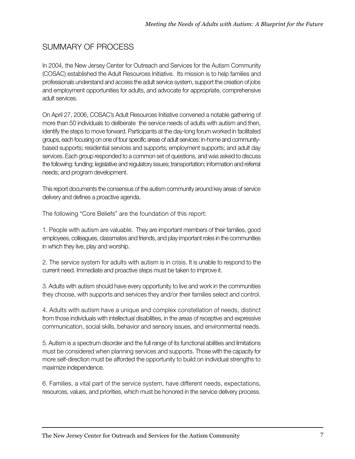## SUMMARY OF PROCESS

In 2004, the New Jersey Center for Outreach and Services for the Autism Community (COSAC) established the Adult Resources Initiative. Its mission is to help families and professionals understand and access the adult service system, support the creation of jobs and employment opportunities for adults, and advocate for appropriate, comprehensive adult services.

On April 27, 2006, COSAC's Adult Resources Initiative convened a notable gathering of more than 50 individuals to deliberate the service needs of adults with autism and then, identify the steps to move forward. Participants at the day-long forum worked in facilitated groups, each focusing on one of four specific areas of adult services: in-home and communitybased supports; residential services and supports; employment supports; and adult day services. Each group responded to a common set of questions, and was asked to discuss the following: funding; legislative and regulatory issues; transportation; information and referral needs; and program development.

This report documents the consensus of the autism community around key areas of service delivery and defines a proactive agenda.

The following "Core Beliefs" are the foundation of this report:

1. People with autism are valuable. They are important members of their families, good employees, colleagues, classmates and friends, and play important roles in the communities in which they live, play and worship.

2. The service system for adults with autism is in crisis. It is unable to respond to the current need. Immediate and proactive steps must be taken to improve it.

3. Adults with autism should have every opportunity to live and work in the communities they choose, with supports and services they and/or their families select and control.

4. Adults with autism have a unique and complex constellation of needs, distinct from those individuals with intellectual disabilities, in the areas of receptive and expressive communication, social skills, behavior and sensory issues, and environmental needs.

5. Autism is a spectrum disorder and the full range of its functional abilities and limitations must be considered when planning services and supports. Those with the capacity for more self-direction must be afforded the opportunity to build on individual strengths to maximize independence.

6. Families, a vital part of the service system, have different needs, expectations, resources, values, and priorities, which must be honored in the service delivery process.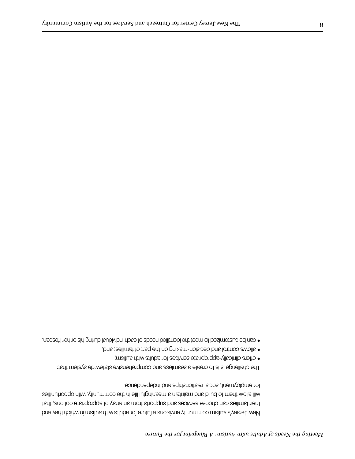New Jersey's autism community envisions a future for adults with autism in which they and their families can choose services and supports from an array of appropriate options, that will allow them to build and maintain a meaningful life in the community, with opportunities for employment, social relationships and independence.

The challenge is is to create a seamless and comprehensive statewide system that:

- offers clinically-appropriate services for adults with autism;
- allows control and decision-making on the part of families; and,
- can be customized to meet the identified needs of each individual during his or her lifespan.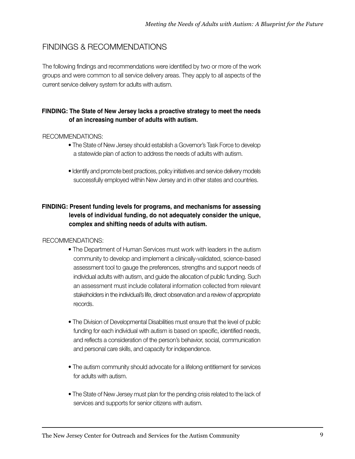### FINDINGS & RECOMMENDATIONS

The following findings and recommendations were identified by two or more of the work groups and were common to all service delivery areas. They apply to all aspects of the current service delivery system for adults with autism.

#### **FINDING: The State of New Jersey lacks a proactive strategy to meet the needs of an increasing number of adults with autism.**

#### RECOMMENDATIONS:

- The State of New Jersey should establish a Governor's Task Force to develop a statewide plan of action to address the needs of adults with autism.
- Identify and promote best practices, policy initiatives and service delivery models successfully employed within New Jersey and in other states and countries.

#### **FINDING: Present funding levels for programs, and mechanisms for assessing levels of individual funding, do not adequately consider the unique, complex and shifting needs of adults with autism.**

- The Department of Human Services must work with leaders in the autism community to develop and implement a clinically-validated, science-based assessment tool to gauge the preferences, strengths and support needs of individual adults with autism, and guide the allocation of public funding. Such an assessment must include collateral information collected from relevant stakeholders in the individual's life, direct observation and a review of appropriate records.
- The Division of Developmental Disabilities must ensure that the level of public funding for each individual with autism is based on specific, identified needs, and reflects a consideration of the person's behavior, social, communication and personal care skills, and capacity for independence.
- The autism community should advocate for a lifelong entitlement for services for adults with autism.
- The State of New Jersey must plan for the pending crisis related to the lack of services and supports for senior citizens with autism.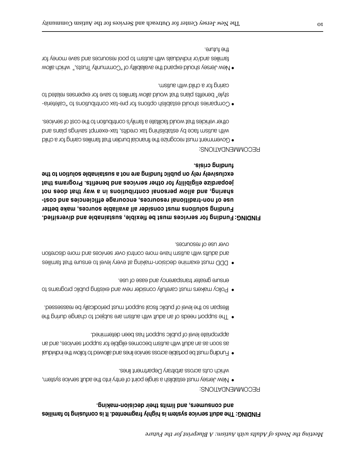#### FINDING: The adult service system is highly fragmented. It is confusing to families **and consumers, and limits their decision-making.**

#### RECOMMENDATIONS:

- New Jersey must establish a single point of entry into the adult service system, which cuts across arbitrary Department lines.
- Funding must be portable across service lines and allowed to follow the individual as soon as an adult with autism becomes eligible for support services, and an appropriate level of public support has been determined.
- $\bullet$  The support needs of an alumburity and an angular substance during the lifespan so the level of public fiscal support must periodically be reassessed.
- Policy makers must carefully consider new and existing public programs to ensure greater transparency and ease of use.
- DDD must examine decision-making at even level to ensure that families and adults with autism have more control over services and more discretion over use of resources.

**Funding for services must be flexible, sustainable and diversified. FINDING: Funding solutions must consider all available sources, make better use of non-traditional resources, encourage efficiencies and costsharing, and allow personal contributions in a way that does not jeopardize eligibility for other services and benefits. Programs that exclusively rely on public funding are not a sustainable solution to the funding crisis.** 

- Government must recognize the financial burden that families caring for a child with autism face by establishing tax credits, tax-exempt savings plans and other vehicles that would facilitate a family's contribution to the cost of services.
- Companies should establish options for pre-tax contributions to "cafeteriastyle" benefits plans that would allow families to save roy as easy related to caring for a child with autism.
- New Jersey should expand the availability of "Community Trusts," which allow families and/or individuals with autism to pool resources and save money for the future.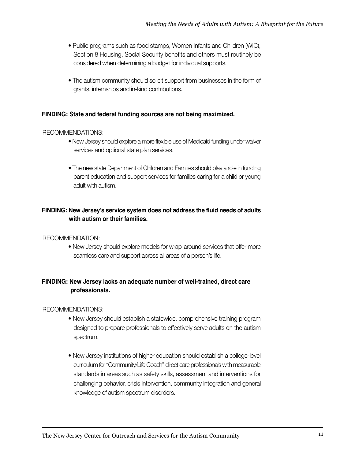- Public programs such as food stamps, Women Infants and Children (WIC), Section 8 Housing, Social Security benefits and others must routinely be considered when determining a budget for individual supports.
- The autism community should solicit support from businesses in the form of grants, internships and in-kind contributions.

#### **FINDING: State and federal funding sources are not being maximized.**

#### RECOMMENDATIONS:

- New Jersey should explore a more flexible use of Medicaid funding under waiver services and optional state plan services.
- The new state Department of Children and Families should play a role in funding parent education and support services for families caring for a child or young adult with autism.

#### **FINDING: New Jersey's service system does not address the fluid needs of adults with autism or their families.**

#### RECOMMENDATION:

• New Jersey should explore models for wrap-around services that offer more seamless care and support across all areas of a person's life.

#### **FINDING: New Jersey lacks an adequate number of well-trained, direct care professionals.**

- New Jersey should establish a statewide, comprehensive training program designed to prepare professionals to effectively serve adults on the autism spectrum.
- New Jersey institutions of higher education should establish a college-level curriculum for "Community/Life Coach" direct care professionals with measurable standards in areas such as safety skills, assessment and interventions for challenging behavior, crisis intervention, community integration and general knowledge of autism spectrum disorders.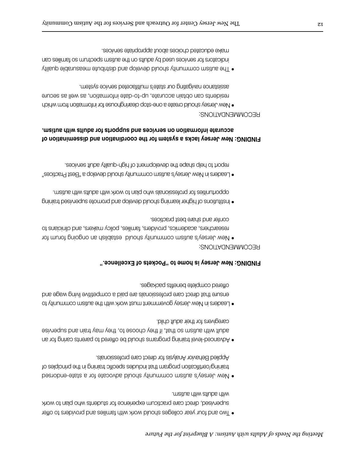- Two and four year colleges should work with families and providers to offer supervised, direct care practicum experience for students who plan to work with adults with autism.
- New Jersey's autism community should advocate for a state-endorsed training/certification program that includes specific training in the principles of Applied Behavior Analysis for direct care professionals.
- Advanced-level training programs should be offered to parents caring for an adult with autism so that, if they choose to, they may train a bin approach caregivers for their adult child.
- Leaders in New Jersey government must work with the autism community to ensure that direct care professionals are paid a competitive living wage and offered complete benefits packages.

#### **FINDING: New Jersey is home to "Pockets of Excellence."**

#### RECOMMENDATIONS:

- New Jersey's autism community should establish an ongoing forum for researchers, academics, providers, families, policy makers, and clinicians to confer and share best practices.
- Institutions of higher learning should develop and promote supervised training opportunities for professionals who plan to work with adults with autism.
- Leaders in New Jersey's autism community should develop a "Best Practices" report to help shape the development of high-quality adult services.

#### **FINDING: New Jersey lacks a system for the coordination and dissemination of accurate information on services and supports for adults with autism.**

- New Jersey should create a one-stop clearinghouse for information from which residents can obtain accurate, up-to-date information, as well as secure assistance navigating our state's multifaceted service system.
- The autism community should develop and distribute measurable quality indicators for services used by adults on the antism spectrum so families can make educated choices about appropriate services.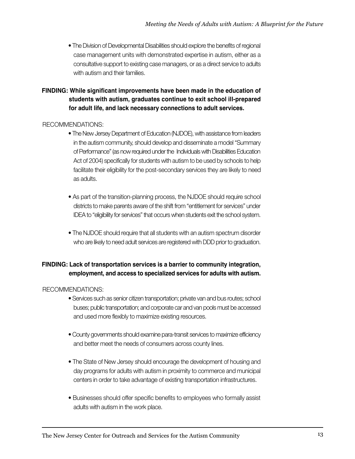• The Division of Developmental Disabilities should explore the benefits of regional case management units with demonstrated expertise in autism, either as a consultative support to existing case managers, or as a direct service to adults with autism and their families.

#### **FINDING: While significant improvements have been made in the education of students with autism, graduates continue to exit school ill-prepared for adult life, and lack necessary connections to adult services.**

#### RECOMMENDATIONS:

- The New Jersey Department of Education (NJDOE), with assistance from leaders in the autism community, should develop and disseminate a model "Summary of Performance" (as now required under the Individuals with Disabilities Education Act of 2004) specifically for students with autism to be used by schools to help facilitate their eligibility for the post-secondary services they are likely to need as adults.
- As part of the transition-planning process, the NJDOE should require school districts to make parents aware of the shift from "entitlement for services" under IDEA to "eligibility for services" that occurs when students exit the school system.
- The NJDOE should require that all students with an autism spectrum disorder who are likely to need adult services are registered with DDD prior to graduation.

#### **FINDING: Lack of transportation services is a barrier to community integration, employment, and access to specialized services for adults with autism.**

- Services such as senior citizen transportation; private van and bus routes; school buses; public transportation; and corporate car and van pools must be accessed and used more flexibly to maximize existing resources.
- County governments should examine para-transit services to maximize efficiency and better meet the needs of consumers across county lines.
- The State of New Jersey should encourage the development of housing and day programs for adults with autism in proximity to commerce and municipal centers in order to take advantage of existing transportation infrastructures.
- Businesses should offer specific benefits to employees who formally assist adults with autism in the work place.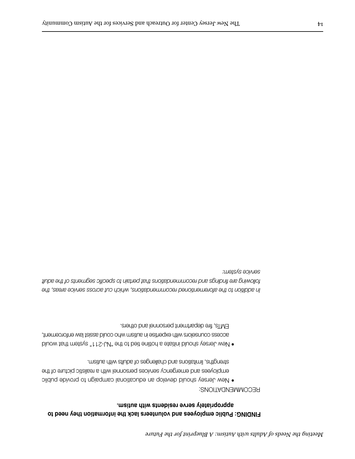#### **FINDING: Public employees and volunteers lack the information they need to appropriately serve residents with autism.**

#### RECOMMENDATIONS:

- New Jersey should develop an educational campaign to provide public employees and emergency services personnel with a realistic picture of the strengths, limitations and challenges of adults with autism.
- New Jersey should initiate a hotline tied to the "NJ-211" system that would access counselors with expertise in autism who could assist law enforcement, EMTs, fire department personnel and others.

*In addition to the aforementioned recommendations, which cut across service areas, the following are findings and recommendations that pertain to specific segments of the adult service system:*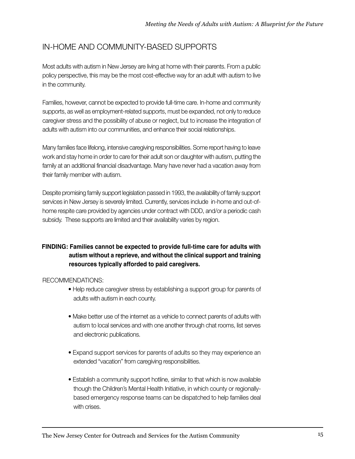### IN-HOME AND COMMUNITY-BASED SUPPORTS

Most adults with autism in New Jersey are living at home with their parents. From a public policy perspective, this may be the most cost-effective way for an adult with autism to live in the community.

Families, however, cannot be expected to provide full-time care. In-home and community supports, as well as employment-related supports, must be expanded, not only to reduce caregiver stress and the possibility of abuse or neglect, but to increase the integration of adults with autism into our communities, and enhance their social relationships.

Many families face lifelong, intensive caregiving responsibilities. Some report having to leave work and stay home in order to care for their adult son or daughter with autism, putting the family at an additional financial disadvantage. Many have never had a vacation away from their family member with autism.

Despite promising family support legislation passed in 1993, the availability of family support services in New Jersey is severely limited. Currently, services include in-home and out-ofhome respite care provided by agencies under contract with DDD, and/or a periodic cash subsidy. These supports are limited and their availability varies by region.

#### **FINDING: Families cannot be expected to provide full-time care for adults with autism without a reprieve, and without the clinical support and training resources typically afforded to paid caregivers.**

- Help reduce caregiver stress by establishing a support group for parents of adults with autism in each county.
- Make better use of the internet as a vehicle to connect parents of adults with autism to local services and with one another through chat rooms, list serves and electronic publications.
- Expand support services for parents of adults so they may experience an extended "vacation" from caregiving responsibilities.
- Establish a community support hotline, similar to that which is now available though the Children's Mental Health Initiative, in which county or regionallybased emergency response teams can be dispatched to help families deal with crises.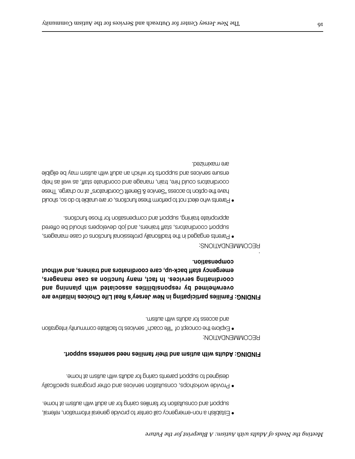• Establish a non-emergency call center to provide general information, referral, support and consultation for families caring for an alumn and the maginal sum at home.

• Provide workshops, consultation services and other programs specifically designed to support parents caring for adults with autism at home.

#### **FINDING: Adults with autism and their families need seamless support.**

#### RECOMMENDATION:

• Explore the concept of "life coach" services to facilitate community integration and access for adults with autism.

**FINDING: Families participating in New Jersey's Real Life Choices Initiative are overwhelmed by responsibilities associated with planning and coordinating services. In fact, many function as case managers, emergency staff back-up, care coordinators and trainers, and without compensation.**

#### RECOMMENDATIONS:

.

• Parents engaged in the traditionally professional functions of case managers, support coordinators, staff trainers, and job developers should be offered appropriate training, support and compensation for those functions.

• Parents who elect not to perform these functions, or are unable to do so, should have the option to access "Service & Benefit Coordinators" at no charge. These coordinators could hire, train, manage and coordinate staff, as well as help ensure services and supports for which an alution and intervalsible are maximized.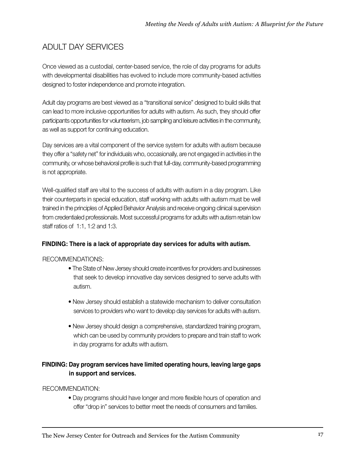# ADULT DAY SERVICES

Once viewed as a custodial, center-based service, the role of day programs for adults with developmental disabilities has evolved to include more community-based activities designed to foster independence and promote integration.

Adult day programs are best viewed as a "transitional service" designed to build skills that can lead to more inclusive opportunities for adults with autism. As such, they should offer participants opportunities for volunteerism, job sampling and leisure activities in the community, as well as support for continuing education.

Day services are a vital component of the service system for adults with autism because they offer a "safety net" for individuals who, occasionally, are not engaged in activities in the community, or whose behavioral profile is such that full-day, community-based programming is not appropriate.

Well-qualified staff are vital to the success of adults with autism in a day program. Like their counterparts in special education, staff working with adults with autism must be well trained in the principles of Applied Behavior Analysis and receive ongoing clinical supervision from credentialed professionals. Most successful programs for adults with autism retain low staff ratios of 1:1, 1:2 and 1:3.

#### **FINDING: There is a lack of appropriate day services for adults with autism.**

#### RECOMMENDATIONS:

- The State of New Jersey should create incentives for providers and businesses that seek to develop innovative day services designed to serve adults with autism.
- New Jersey should establish a statewide mechanism to deliver consultation services to providers who want to develop day services for adults with autism.
- New Jersey should design a comprehensive, standardized training program, which can be used by community providers to prepare and train staff to work in day programs for adults with autism.

#### **FINDING: Day program services have limited operating hours, leaving large gaps in support and services.**

#### RECOMMENDATION:

• Day programs should have longer and more flexible hours of operation and offer "drop in" services to better meet the needs of consumers and families.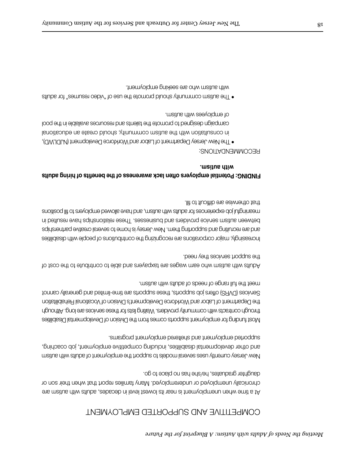### COMPETITIVE AND SUPPORTED EMPLOYMENT

At a time when unemployment is near its lowest level in decades, adults with autism are chronically unemployed or underemployed. Many families report that when their son or daughter graduates, he/she has no place to go.

New Jersey currently uses several models to support the employment of adults with autism and other developmental disabilities, including competitive employment, job coaching, smengord friemyolgme beretlerke bne friemyolgment programs.

Most funding for employment supports comes from the Division of Developmental Disabilities therough community community contracts with contracts are services as a contracted the Although the Department of Labor and Workforce Development's Division of Vocational Rehabilitation Services (DVRS) offers job supports, these supports are time-limited and generally cannot meet the full range of needs of adults with autism.

Adults with autism who earn wages are taxpayers and able to contribute to the cost of the support services they need.

Increasingly, major corporations are recognizing the contributions of people with disabilities and are recruiting and supporting them. New Jersey is home to several creative partnerships between autism service providers and businesses. These relationships have resulted in meaning of lift of stevel que be wells even to mean and have a mean and have to fill positions that otherwise are difficult to fill.

#### **FINDING: Potential employers often lack awareness of the benefits of hiring adults with autism.**

- The New Jersey Department of Labor and Workforce Development (NJDLWD), in consultation with the autism community, should create an educational campaign designed to promote the talents and resources available in the pool of employees with autism.
- The autism community should promote the use of "video resumes" for adults with autism who are seeking employment.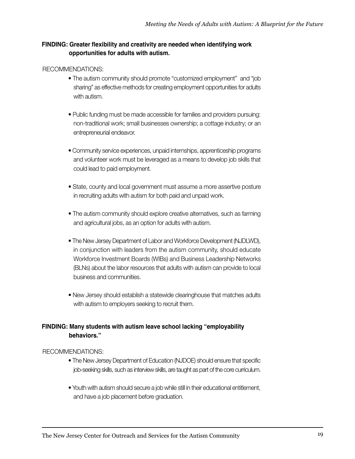#### **FINDING: Greater flexibility and creativity are needed when identifying work opportunities for adults with autism.**

#### RECOMMENDATIONS:

- The autism community should promote "customized employment" and "job sharing" as effective methods for creating employment opportunities for adults with autism.
- Public funding must be made accessible for families and providers pursuing: non-traditional work; small businesses ownership; a cottage industry; or an entrepreneurial endeavor.
- Community service experiences, unpaid internships, apprenticeship programs and volunteer work must be leveraged as a means to develop job skills that could lead to paid employment.
- State, county and local government must assume a more assertive posture in recruiting adults with autism for both paid and unpaid work.
- The autism community should explore creative alternatives, such as farming and agricultural jobs, as an option for adults with autism.
- The New Jersey Department of Labor and Workforce Development (NJDLWD), in conjunction with leaders from the autism community, should educate Workforce Investment Boards (WIBs) and Business Leadership Networks (BLNs) about the labor resources that adults with autism can provide to local business and communities.
- New Jersey should establish a statewide clearinghouse that matches adults with autism to employers seeking to recruit them.

#### **FINDING: Many students with autism leave school lacking "employability behaviors."**

- The New Jersey Department of Education (NJDOE) should ensure that specific job-seeking skills, such as interview skills, are taught as part of the core curriculum.
- Youth with autism should secure a job while still in their educational entitlement, and have a job placement before graduation.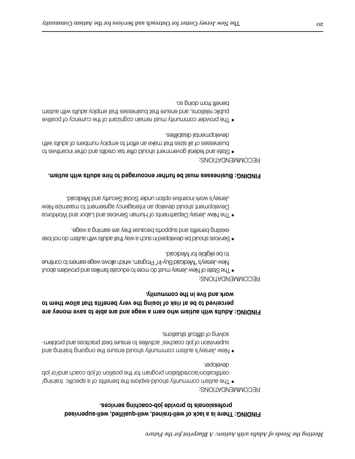### **FINDING: There is a lack of well-trained, well-qualified, well-supervised professionals to provide job-coaching services.**

#### RECOMMENDATIONS:

- The autism community should explore the benefits of a specific training certification/accreditation program for the position of job coach and/or job developer.
- New Jersey's autism community should ensure the ongoing the pay supervision of job coaches' activities to ensure best practices and problemsolving of difficult situations.

#### **FINDING: Adults with autism who earn a wage and are able to save money are perceived to be at risk of losing the very benefits that allow them to work and live in the community.**

#### RECOMMENDATIONS:

- The State of New Jersey must do more to educate families and providers about New Jersey's "Medicaid Buy-In" Program, which allows wage earners to continue to be eligible for Medicaid.
- Services should be developed in such a way that adults with autism do not lose existing benefits and supports because they are earning a wage.
- The New Jersey Departments of Human Services and Labor and Workforce Development should develop an interagency agreement to maximize New Jersey's work incentive option under Social Security and Medicaid.

#### **FINDING: Businesses must be further encouraged to hire adults with autism.**

- State and federal government should offer tax credits and other incentives to businesses of all sizes that make an effort to employ numbers of adults with developmental disabilities.
- The provider community must remain cognizant of the currency of positive public relations, and ensure that businesses that employ adults with autism benefit from doing so.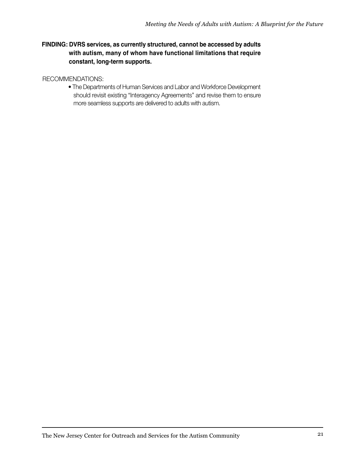#### **FINDING: DVRS services, as currently structured, cannot be accessed by adults with autism, many of whom have functional limitations that require constant, long-term supports.**

#### RECOMMENDATIONS:

• The Departments of Human Services and Labor and Workforce Development should revisit existing "Interagency Agreements" and revise them to ensure more seamless supports are delivered to adults with autism.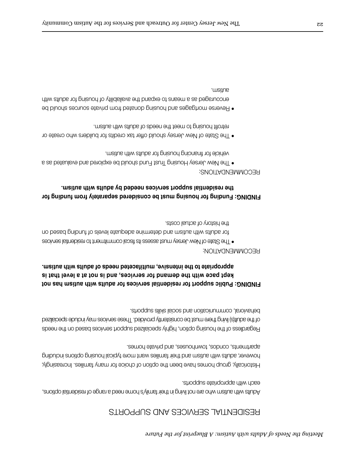### RESIDENTIAL SERVICES AND SUPPORTS

Adults with autism who are not living in their family's home need a range of residential options, each with appropriate supports.

Historically, group homes have been the option of choice for many families. Increasingly, however, adults with autism and their families want more typical housing options including apartments, condos, townhouses, and private homes.

Regard of the housing option, including option, the based service passed supports and the needs of the adult(s) living there must be consistently provided. These services may include specialized behavioral, communication and social skills supports.

### **FINDING: Public support for residential services for adults with autism has not kept pace with the demand for services, and is not at a level that is appropriate to the intensive, multifaceted needs of adults with autism.**

#### RECOMMENDATION:

• The State of New Jersey must assess its film to resident to residential services for adults with autism and determine adequate levels of funding based on the history of actual costs.

#### **FINDING: Funding for housing must be considered separately from funding for the residential support services needed by adults with autism.**

- The New Jersey Housing Trust Fund should be explored and evaluated as a vehicle for financing housing for adults with autism.
- The State of New Jersey should offer tax credits for builders who create or retrofit housing to meet the needs of adults with autism.
- Reverse mortgages and housing between from private sequences should be encouraged as a means to expand the availability of housing for adults with autism.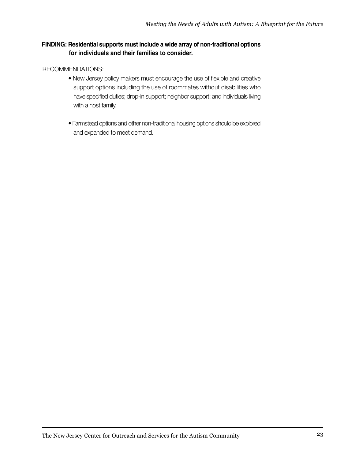#### **FINDING: Residential supports must include a wide array of non-traditional options for individuals and their families to consider.**

- New Jersey policy makers must encourage the use of flexible and creative support options including the use of roommates without disabilities who have specified duties; drop-in support; neighbor support; and individuals living with a host family.
- Farmstead options and other non-traditional housing options should be explored and expanded to meet demand.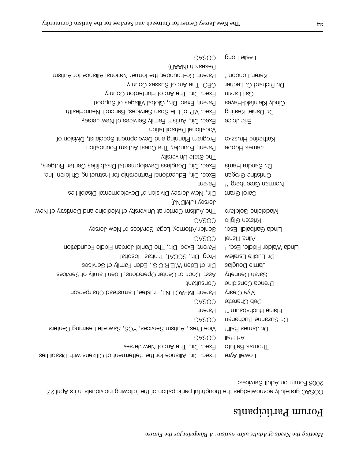# Forum Participants

COSAC gratefully acknowledges the thoughtful participation of the following individuals in its April 27, 2006 Forum on Adult Services:

| <b>OASOO</b>                                                          | Leslie Long                              |
|-----------------------------------------------------------------------|------------------------------------------|
| (AAAN) donseseR                                                       |                                          |
| Parent; Co-Founder, the former National Alliance for Autism           | $+$ nobrol London $+$                    |
| CEO, The Arc of Sussex County                                         | Dr. Richard C. Lecher                    |
| Exec. Dir., The Arc of Hunterdon County                               | <b>Gail Larkin</b>                       |
| Parent; Exec. Dir., Global Villages of Support                        | Cindy Kleinfeld-Hayes                    |
| Exec. VP. of Life Span Services, Bancroft NeuroHealth                 | Dr. Daniel Keating                       |
| Exec. Dir., Autism Family Services of New Jersey                      | Eric Joice                               |
| <b>Vocational Rehabilitation</b>                                      |                                          |
| Program Planning and Development Specialist, Division of              | Katherine Hruszko                        |
| Parent; Founder, The Quest Autism Foundation                          | <b>James Hoppe</b>                       |
| Ytiene University                                                     |                                          |
| Exec. Dir., Douglass Developmental Disabilities Center, Rutgers,      | Dr. Sandra Harris                        |
| Exec. Dir., Educational Partnership for Instructing Children, Inc.    | Christine Grogan                         |
| <b>Parent</b>                                                         | Norman Greenberg * <sup>+</sup>          |
| Dir., New Jersey Division of Developmental Disabilities               | Carol Grant                              |
| Jersey (UMDNJ)                                                        |                                          |
| The Autism Center at University of Medicine and Dentistry of New      | dadeleine Goldfarb                       |
| COSAC                                                                 | <b>Nristen Giglio</b>                    |
| Senior Attorney, Legal Services of New Jersey                         | Linda Garibaldi, Esq.                    |
| COSAC                                                                 | ledai <sub>1</sub> snilA                 |
| Parent; Exec. Dir., The Daniel Jordan Fiddle Foundation               | Linda Walder Fiddle, Esq. $^+$           |
| Prog. Dir., SCCAT, Trinitas Hospital                                  | Dr. Lucille Esralew                      |
| Dir. of Eden W.E.R.C.S., Eden Family of Services                      | Jamie Douglas                            |
| Asst. Coor. of Center Operations, Eden Family of Services             | Sarah Dennehy                            |
| Consultant                                                            | Brenda Considine                         |
| Parent; IMPACT NJ, Trustee, Farmstead Chairperson                     | Mya Cleary                               |
| COSAC                                                                 | Deb Charette                             |
| Parent                                                                | Elaine Buchsbaum * <sup>+</sup>          |
| COSAC                                                                 | Dr. Suzanne Buchanan                     |
| Vice Pres., Autism Services, YCS, Sawtelle Learning Centers           | $\mathsf{Dr}$ , James Ball* <sup>†</sup> |
| COSAC                                                                 | lls8 hA                                  |
| Exec. Dir., The Arc of New Jersey                                     | Thomas Baffuto                           |
| Exec. Dir., Alliance for the Betterment of Citizens with Disabilities | <b>DOWEll Ayre</b>                       |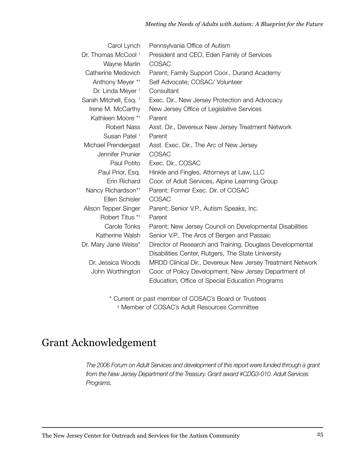| Carol Lynch                    | Pennsylvania Office of Autism                             |
|--------------------------------|-----------------------------------------------------------|
| Dr. Thomas McCool <sup>+</sup> | President and CEO, Eden Family of Services                |
| Wayne Marlin                   | COSAC                                                     |
| Catherine Medovich             | Parent; Family Support Coor., Durand Academy              |
| Anthony Meyer **               | Self Advocate; COSAC/ Volunteer                           |
| Dr. Linda Meyer <sup>+</sup>   | Consultant                                                |
| Sarah Mitchell, Esq. †         | Exec. Dir., New Jersey Protection and Advocacy            |
| Irene M. McCarthy              | New Jersey Office of Legislative Services                 |
| Kathleen Moore **              | Parent                                                    |
| <b>Robert Nass</b>             | Asst. Dir., Devereux New Jersey Treatment Network         |
| Susan Patel <sup>+</sup>       | Parent                                                    |
| Michael Prendergast            | Asst. Exec. Dir., The Arc of New Jersey                   |
| Jennifer Prunier               | COSAC                                                     |
| Paul Potito                    | Exec. Dir., COSAC                                         |
| Paul Prior, Esq.               | Hinkle and Fingles, Attorneys at Law, LLC                 |
| Erin Richard                   | Coor. of Adult Services, Alpine Learning Group            |
| Nancy Richardson* <sup>†</sup> | Parent; Former Exec. Dir. of COSAC                        |
| Ellen Schisler                 | COSAC                                                     |
| Alison Tepper Singer           | Parent; Senior V.P., Autism Speaks, Inc.                  |
| Robert Titus **                | Parent                                                    |
| Carole Tonks                   | Parent; New Jersey Council on Developmental Disabilities  |
| Katherine Walsh                | Senior V.P., The Arcs of Bergen and Passaic               |
| Dr. Mary Jane Weiss*           | Director of Research and Training, Douglass Developmental |
|                                | Disabilities Center, Rutgers, The State University        |
| Dr. Jessica Woods              | MRDD Clinical Dir., Devereux New Jersey Treatment Network |
| John Worthington               | Coor. of Policy Development, New Jersey Department of     |
|                                | Education, Office of Special Education Programs           |
|                                |                                                           |

\* Current or past member of COSAC's Board or Trustees † Member of COSAC's Adult Resources Committee

# Grant Acknowledgement

*The 2006 Forum on Adult Services and development of this report were funded through a grant from the New Jersey Department of the Treasury. Grant award #CDG3-010. Adult Services Programs.*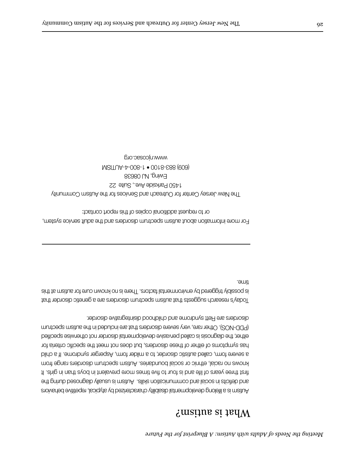# What is autism?

Autism is a lifelong developmental disability characterized by atypical, repetitive behaviors and deficits in social and communications in suitably diagnosed during the first three years of life and is four to five times more prevalent in boys than in girls. It knows no racial, ethnic or social boundaries. Autism spectrum disorders range from a severe form, called autistic disorder, to a milder form, Asperger syndrome. If a child has symptoms of either of these disorders, but does not meet the specific criteria for either, the diagnosis is called pervasive developmental disorder not otherwise specified (PDD-NOS). Other rare, very severe disorders that are included in the autism spectrum disorders are Rett syndrome and childhood disintegrative disorder.

Today's research suggests that autism spectrum disorders are a genetic disorder that is possibly triggered by environmental factors. There is no known cure for autism at this time.

For more information about autism spectrum disorders and the adult service system, or to request additional copies of this report contact:

The New Jersey Center for Outreach and Services for the Autism Community 1450 Parkside Ave., Suite 22 Ewing, NJ 08638 (609) 883-8100 • 1-800-4-AUTISM www.njcosac.org